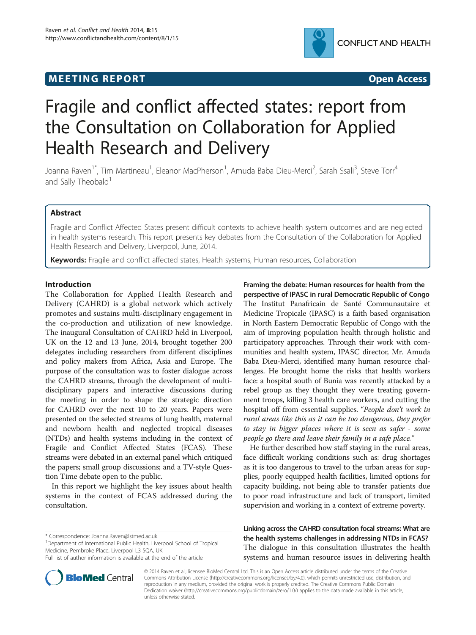## **MEETING REPORT CONSUMING A REPORT** AND THE SECOND ACCESS OPEN ACCESS



# Fragile and conflict affected states: report from the Consultation on Collaboration for Applied Health Research and Delivery

Joanna Raven<sup>1\*</sup>, Tim Martineau<sup>1</sup>, Eleanor MacPherson<sup>1</sup>, Amuda Baba Dieu-Merci<sup>2</sup>, Sarah Ssali<sup>3</sup>, Steve Torr<sup>4</sup> and Sally Theobald<sup>1</sup>

## Abstract

Fragile and Conflict Affected States present difficult contexts to achieve health system outcomes and are neglected in health systems research. This report presents key debates from the Consultation of the Collaboration for Applied Health Research and Delivery, Liverpool, June, 2014.

Keywords: Fragile and conflict affected states, Health systems, Human resources, Collaboration

## Introduction

The Collaboration for Applied Health Research and Delivery (CAHRD) is a global network which actively promotes and sustains multi-disciplinary engagement in the co-production and utilization of new knowledge. The inaugural Consultation of CAHRD held in Liverpool, UK on the 12 and 13 June, 2014, brought together 200 delegates including researchers from different disciplines and policy makers from Africa, Asia and Europe. The purpose of the consultation was to foster dialogue across the CAHRD streams, through the development of multidisciplinary papers and interactive discussions during the meeting in order to shape the strategic direction for CAHRD over the next 10 to 20 years. Papers were presented on the selected streams of lung health, maternal and newborn health and neglected tropical diseases (NTDs) and health systems including in the context of Fragile and Conflict Affected States (FCAS). These streams were debated in an external panel which critiqued the papers; small group discussions; and a TV-style Question Time debate open to the public.

In this report we highlight the key issues about health systems in the context of FCAS addressed during the consultation.

\* Correspondence: [Joanna.Raven@lstmed.ac.uk](mailto:Joanna.Raven@lstmed.ac.uk) <sup>1</sup>

<sup>1</sup>Department of International Public Health, Liverpool School of Tropical Medicine, Pembroke Place, Liverpool L3 5QA, UK

Framing the debate: Human resources for health from the perspective of IPASC in rural Democratic Republic of Congo The Institut Panafricain de Santé Communautaire et Medicine Tropicale (IPASC) is a faith based organisation in North Eastern Democratic Republic of Congo with the aim of improving population health through holistic and participatory approaches. Through their work with communities and health system, IPASC director, Mr. Amuda Baba Dieu-Merci, identified many human resource challenges. He brought home the risks that health workers face: a hospital south of Bunia was recently attacked by a rebel group as they thought they were treating government troops, killing 3 health care workers, and cutting the hospital off from essential supplies. "People don't work in rural areas like this as it can be too dangerous, they prefer to stay in bigger places where it is seen as safer - some people go there and leave their family in a safe place."

He further described how staff staying in the rural areas, face difficult working conditions such as: drug shortages as it is too dangerous to travel to the urban areas for supplies, poorly equipped health facilities, limited options for capacity building, not being able to transfer patients due to poor road infrastructure and lack of transport, limited supervision and working in a context of extreme poverty.

Linking across the CAHRD consultation focal streams: What are the health systems challenges in addressing NTDs in FCAS? The dialogue in this consultation illustrates the health systems and human resource issues in delivering health



© 2014 Raven et al.; licensee BioMed Central Ltd. This is an Open Access article distributed under the terms of the Creative Commons Attribution License [\(http://creativecommons.org/licenses/by/4.0\)](http://creativecommons.org/licenses/by/4.0), which permits unrestricted use, distribution, and reproduction in any medium, provided the original work is properly credited. The Creative Commons Public Domain Dedication waiver [\(http://creativecommons.org/publicdomain/zero/1.0/](http://creativecommons.org/publicdomain/zero/1.0/)) applies to the data made available in this article, unless otherwise stated.

Full list of author information is available at the end of the article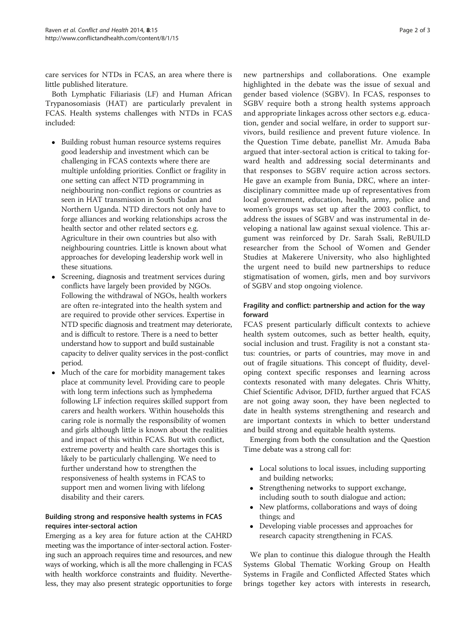care services for NTDs in FCAS, an area where there is little published literature.

Both Lymphatic Filiariasis (LF) and Human African Trypanosomiasis (HAT) are particularly prevalent in FCAS. Health systems challenges with NTDs in FCAS included:

- Building robust human resource systems requires good leadership and investment which can be challenging in FCAS contexts where there are multiple unfolding priorities. Conflict or fragility in one setting can affect NTD programming in neighbouring non-conflict regions or countries as seen in HAT transmission in South Sudan and Northern Uganda. NTD directors not only have to forge alliances and working relationships across the health sector and other related sectors e.g. Agriculture in their own countries but also with neighbouring countries. Little is known about what approaches for developing leadership work well in these situations.
- Screening, diagnosis and treatment services during conflicts have largely been provided by NGOs. Following the withdrawal of NGOs, health workers are often re-integrated into the health system and are required to provide other services. Expertise in NTD specific diagnosis and treatment may deteriorate, and is difficult to restore. There is a need to better understand how to support and build sustainable capacity to deliver quality services in the post-conflict period.
- Much of the care for morbidity management takes place at community level. Providing care to people with long term infections such as lymphedema following LF infection requires skilled support from carers and health workers. Within households this caring role is normally the responsibility of women and girls although little is known about the realities and impact of this within FCAS. But with conflict, extreme poverty and health care shortages this is likely to be particularly challenging. We need to further understand how to strengthen the responsiveness of health systems in FCAS to support men and women living with lifelong disability and their carers.

## Building strong and responsive health systems in FCAS requires inter-sectoral action

Emerging as a key area for future action at the CAHRD meeting was the importance of inter-sectoral action. Fostering such an approach requires time and resources, and new ways of working, which is all the more challenging in FCAS with health workforce constraints and fluidity. Nevertheless, they may also present strategic opportunities to forge

new partnerships and collaborations. One example highlighted in the debate was the issue of sexual and gender based violence (SGBV). In FCAS, responses to SGBV require both a strong health systems approach and appropriate linkages across other sectors e.g. education, gender and social welfare, in order to support survivors, build resilience and prevent future violence. In the Question Time debate, panellist Mr. Amuda Baba argued that inter-sectoral action is critical to taking forward health and addressing social determinants and that responses to SGBV require action across sectors. He gave an example from Bunia, DRC, where an interdisciplinary committee made up of representatives from local government, education, health, army, police and women's groups was set up after the 2003 conflict, to address the issues of SGBV and was instrumental in developing a national law against sexual violence. This argument was reinforced by Dr. Sarah Ssali, ReBUILD researcher from the School of Women and Gender Studies at Makerere University, who also highlighted the urgent need to build new partnerships to reduce stigmatisation of women, girls, men and boy survivors of SGBV and stop ongoing violence.

## Fragility and conflict: partnership and action for the way forward

FCAS present particularly difficult contexts to achieve health system outcomes, such as better health, equity, social inclusion and trust. Fragility is not a constant status: countries, or parts of countries, may move in and out of fragile situations. This concept of fluidity, developing context specific responses and learning across contexts resonated with many delegates. Chris Whitty, Chief Scientific Advisor, DFID, further argued that FCAS are not going away soon, they have been neglected to date in health systems strengthening and research and are important contexts in which to better understand and build strong and equitable health systems.

Emerging from both the consultation and the Question Time debate was a strong call for:

- Local solutions to local issues, including supporting and building networks;
- Strengthening networks to support exchange, including south to south dialogue and action;
- New platforms, collaborations and ways of doing things; and
- Developing viable processes and approaches for research capacity strengthening in FCAS.

We plan to continue this dialogue through the Health Systems Global Thematic Working Group on Health Systems in Fragile and Conflicted Affected States which brings together key actors with interests in research,